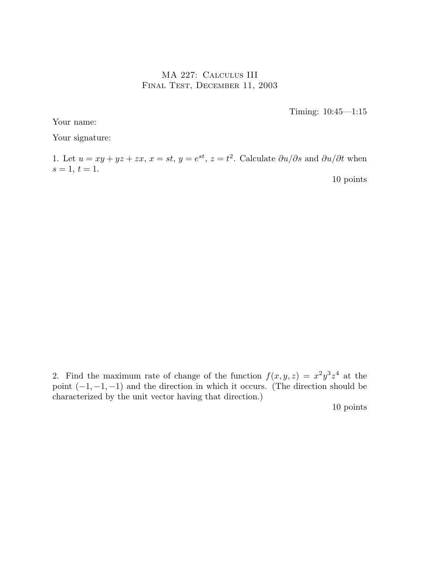## MA 227: Calculus III Final Test, December 11, 2003

Timing: 10:45—1:15

Your name:

Your signature:

1. Let  $u = xy + yz + zx$ ,  $x = st$ ,  $y = e^{st}$ ,  $z = t^2$ . Calculate  $\frac{\partial u}{\partial s}$  and  $\frac{\partial u}{\partial t}$  when  $s = 1, t = 1.$ 

10 points

2. Find the maximum rate of change of the function  $f(x, y, z) = x^2 y^3 z^4$  at the point  $(-1, -1, -1)$  and the direction in which it occurs. (The direction should be characterized by the unit vector having that direction.)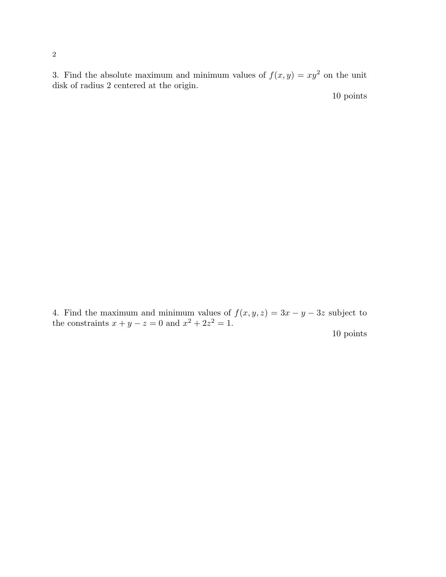3. Find the absolute maximum and minimum values of  $f(x, y) = xy^2$  on the unit disk of radius 2 centered at the origin.

10 points

4. Find the maximum and minimum values of  $f(x, y, z) = 3x - y - 3z$  subject to the constraints  $x + y - z = 0$  and  $x^2 + 2z^2 = 1$ .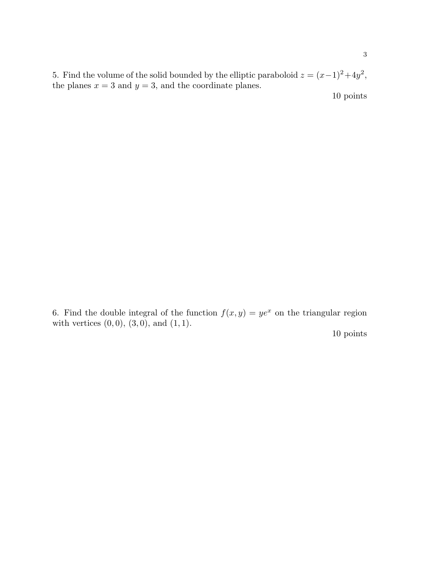5. Find the volume of the solid bounded by the elliptic paraboloid  $z = (x-1)^2 + 4y^2$ , the planes  $x = 3$  and  $y = 3$ , and the coordinate planes.

10 points

6. Find the double integral of the function  $f(x, y) = ye^x$  on the triangular region with vertices  $(0, 0)$ ,  $(3, 0)$ , and  $(1, 1)$ . 10 points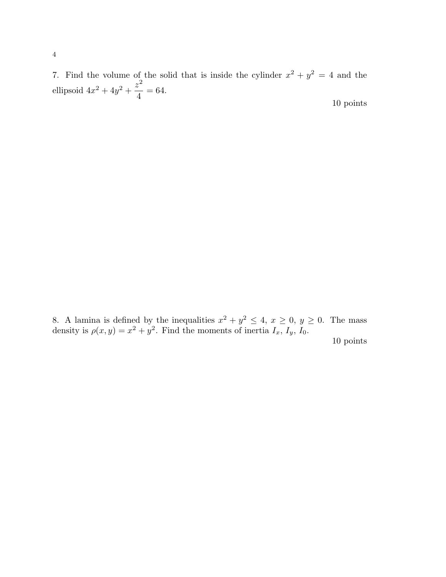7. Find the volume of the solid that is inside the cylinder  $x^2 + y^2 = 4$  and the ellipsoid  $4x^2 + 4y^2 + \frac{z^2}{4}$ 4  $= 64.$ 10 points

8. A lamina is defined by the inequalities  $x^2 + y^2 \le 4$ ,  $x \ge 0$ ,  $y \ge 0$ . The mass density is  $\rho(x,y) = x^2 + y^2$ . Find the moments of inertia  $I_x$ ,  $I_y$ ,  $I_0$ .